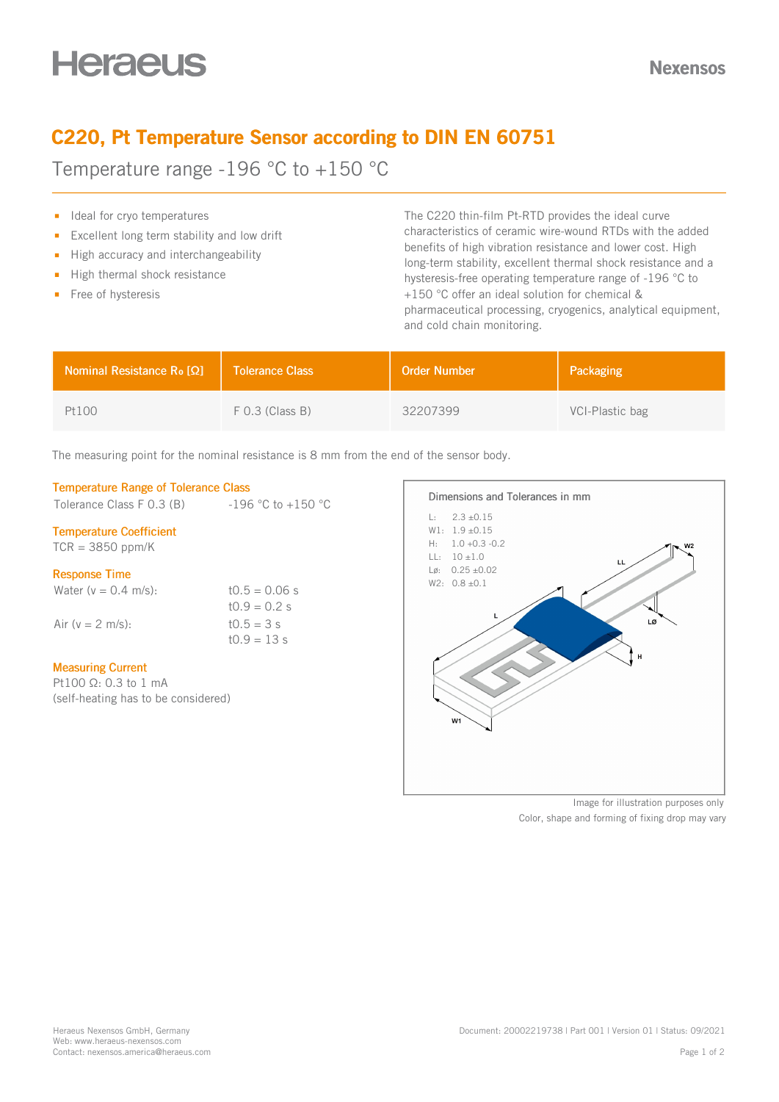# C220, Pt Temperature Sensor according to DIN EN 60751

Temperature range -196 °C to +150 °C

- Ideal for cryo temperatures
- Excellent long term stability and low drift  $\blacksquare$
- $\blacksquare$  High accuracy and interchangeability
- $\blacksquare$  High thermal shock resistance
- Free of hysteresis

The C220 thin-film Pt-RTD provides the ideal curve characteristics of ceramic wire-wound RTDs with the added benefits of high vibration resistance and lower cost. High long-term stability, excellent thermal shock resistance and a hysteresis-free operating temperature range of -196 °C to +150 °C offer an ideal solution for chemical & pharmaceutical processing, cryogenics, analytical equipment, and cold chain monitoring.

| <b>Nominal Resistance R<sub>o</sub> [Ω]</b> | Tolerance Class   | <b>Order Number</b> | Packaging       |
|---------------------------------------------|-------------------|---------------------|-----------------|
| Pt100                                       | $F$ 0.3 (Class B) | 32207399            | VCI-Plastic bag |

The measuring point for the nominal resistance is 8 mm from the end of the sensor body.

## Temperature Range of Tolerance Class

Tolerance Class F 0.3 (B)  $-196 °C$  to  $+150 °C$ 

## Temperature Coefficient

 $TCR = 3850$  ppm/K

## Response Time

Water  $(v = 0.4 \text{ m/s})$ : t0.5 = 0.06 s  $t0.9 = 0.2 s$ Air ( $v = 2$  m/s): t0.5 = 3 s  $10.9 = 13 s$ 

## Measuring Current

Pt100 Ω: 0.3 to 1 mA (self-heating has to be considered)



Image for illustration purposes only Color, shape and forming of fixing drop may vary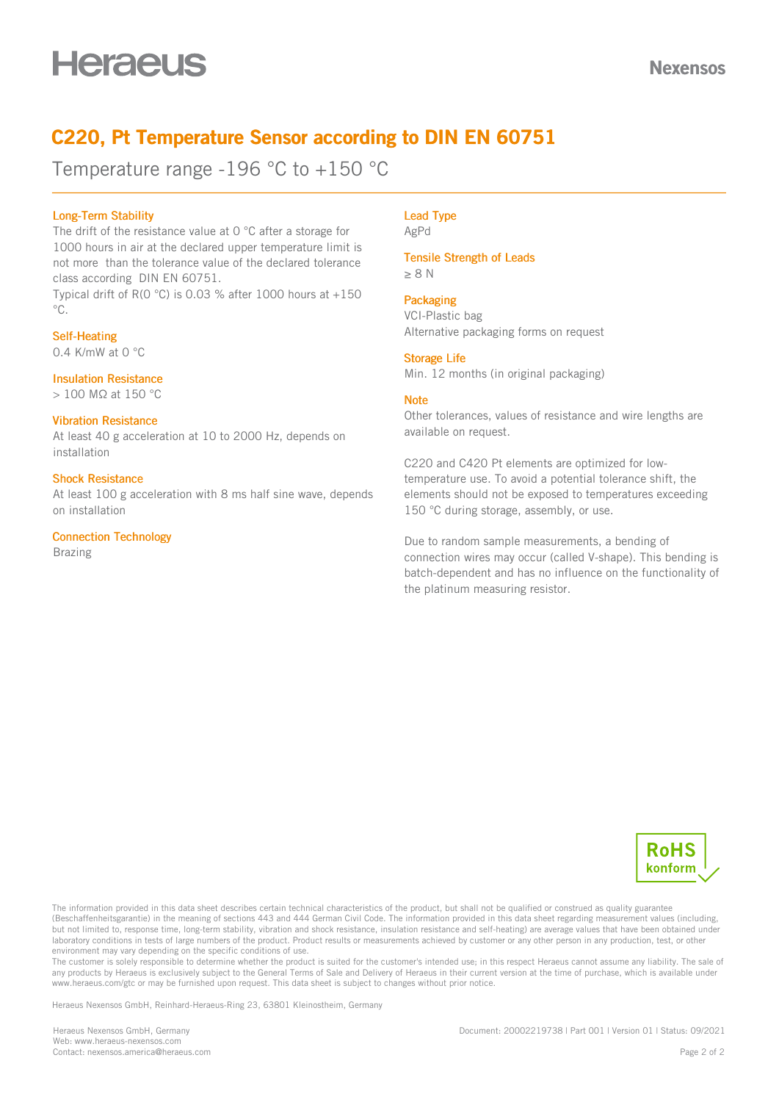## C220, Pt Temperature Sensor according to DIN EN 60751

Temperature range -196 °C to +150 °C

## Long-Term Stability

The drift of the resistance value at 0 °C after a storage for 1000 hours in air at the declared upper temperature limit is not more than the tolerance value of the declared tolerance class according DIN EN 60751.

Typical drift of R(0 °C) is 0.03 % after 1000 hours at  $+150$  $^{\circ}C$ .

## Self-Heating

0.4 K/mW at 0 °C

## Insulation Resistance

> 100 MΩ at 150 °C

## Vibration Resistance

At least 40 g acceleration at 10 to 2000 Hz, depends on installation

## Shock Resistance

At least 100 g acceleration with 8 ms half sine wave, depends on installation

## Connection Technology

Brazing

#### Lead Type AgPd

Tensile Strength of Leads

≥ 8 N

## **Packaging**

VCI-Plastic bag Alternative packaging forms on request

## Storage Life

Min. 12 months (in original packaging)

## **Note**

Other tolerances, values of resistance and wire lengths are available on request.

C220 and C420 Pt elements are optimized for lowtemperature use. To avoid a potential tolerance shift, the elements should not be exposed to temperatures exceeding 150 °C during storage, assembly, or use.

Due to random sample measurements, a bending of connection wires may occur (called V-shape). This bending is batch-dependent and has no influence on the functionality of the platinum measuring resistor.



The information provided in this data sheet describes certain technical characteristics of the product, but shall not be qualified or construed as quality guarantee (Beschaffenheitsgarantie) in the meaning of sections 443 and 444 German Civil Code. The information provided in this data sheet regarding measurement values (including, but not limited to, response time, long-term stability, vibration and shock resistance, insulation resistance and self-heating) are average values that have been obtained under laboratory conditions in tests of large numbers of the product. Product results or measurements achieved by customer or any other person in any production, test, or other environment may vary depending on the specific conditions of use.

The customer is solely responsible to determine whether the product is suited for the customer's intended use; in this respect Heraeus cannot assume any liability. The sale of any products by Heraeus is exclusively subject to the General Terms of Sale and Delivery of Heraeus in their current version at the time of purchase, which is available under www.heraeus.com/gtc or may be furnished upon request. This data sheet is subject to changes without prior notice.

Heraeus Nexensos GmbH, Reinhard-Heraeus-Ring 23, 63801 Kleinostheim, Germany

Heraeus Nexensos GmbH, Germany Web: [www.heraeus-nexensos.com](https://www.heraeus-nexensos.com) Contact: [nexensos.america@heraeus.com](mailto:nexensos.america@heraeus.com?subject=Request%20via%20Datasheet) Document: 20002219738 | Part 001 | Version 01 | Status: 09/2021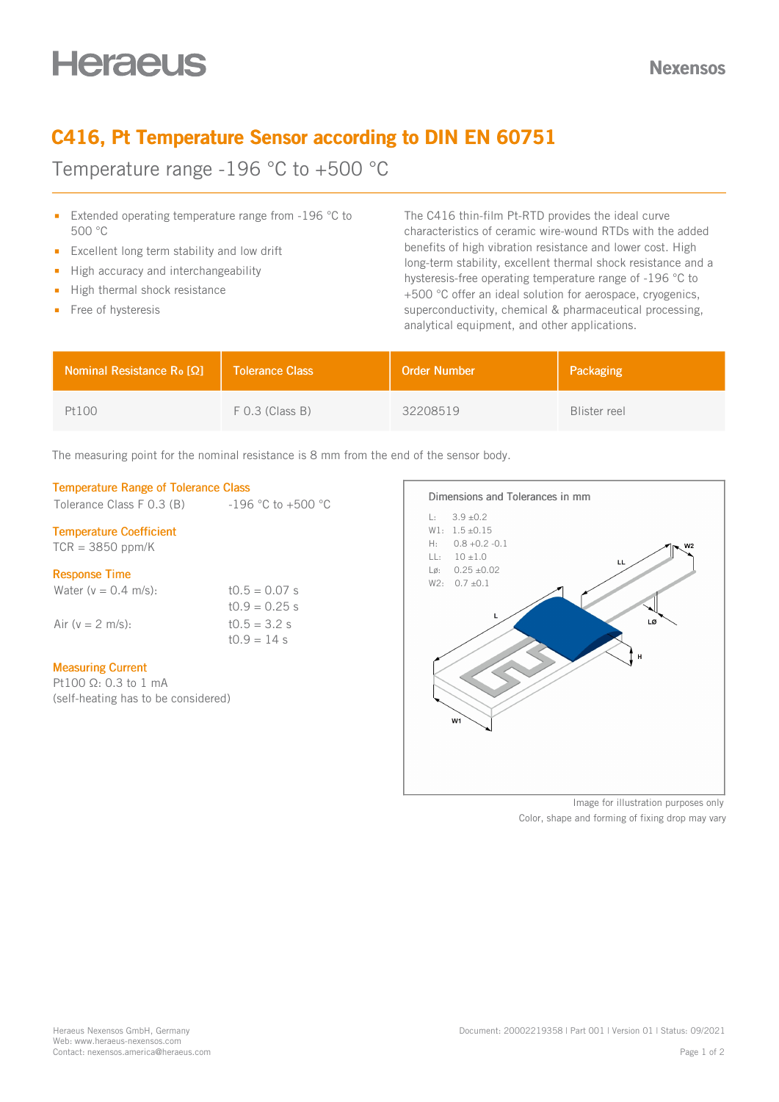## C416, Pt Temperature Sensor according to DIN EN 60751

Temperature range -196 °C to +500 °C

- **Extended operating temperature range from -196 °C to** 500 °C
- Excellent long term stability and low drift  $\blacksquare$
- $\blacksquare$  High accuracy and interchangeability
- High thermal shock resistance  $\mathbf{r}$
- Free of hysteresis

The C416 thin-film Pt-RTD provides the ideal curve characteristics of ceramic wire-wound RTDs with the added benefits of high vibration resistance and lower cost. High long-term stability, excellent thermal shock resistance and a hysteresis-free operating temperature range of -196 °C to +500 °C offer an ideal solution for aerospace, cryogenics, superconductivity, chemical & pharmaceutical processing, analytical equipment, and other applications.

| <b>Nominal Resistance R<sub>o</sub> [Ω]</b> | <b>Tolerance Class</b> | <b>Order Number</b> | Packaging    |
|---------------------------------------------|------------------------|---------------------|--------------|
| Pt100                                       | $F$ 0.3 (Class B)      | 32208519            | Blister reel |

The measuring point for the nominal resistance is 8 mm from the end of the sensor body.

## Temperature Range of Tolerance Class

Tolerance Class F 0.3 (B)  $-196 °C$  to  $+500 °C$ 

## Temperature Coefficient

 $TCR = 3850$  ppm/K

## Response Time

| Water ( $v = 0.4$ m/s): | $t0.5 = 0.07$ s |
|-------------------------|-----------------|
|                         | $10.9 = 0.25$ s |
| Air (y = 2 m/s):        | $t0.5 = 3.2 s$  |
|                         | $10.9 = 14$ s   |

## Measuring Current

Pt100 Ω: 0.3 to 1 mA (self-heating has to be considered)



Image for illustration purposes only Color, shape and forming of fixing drop may vary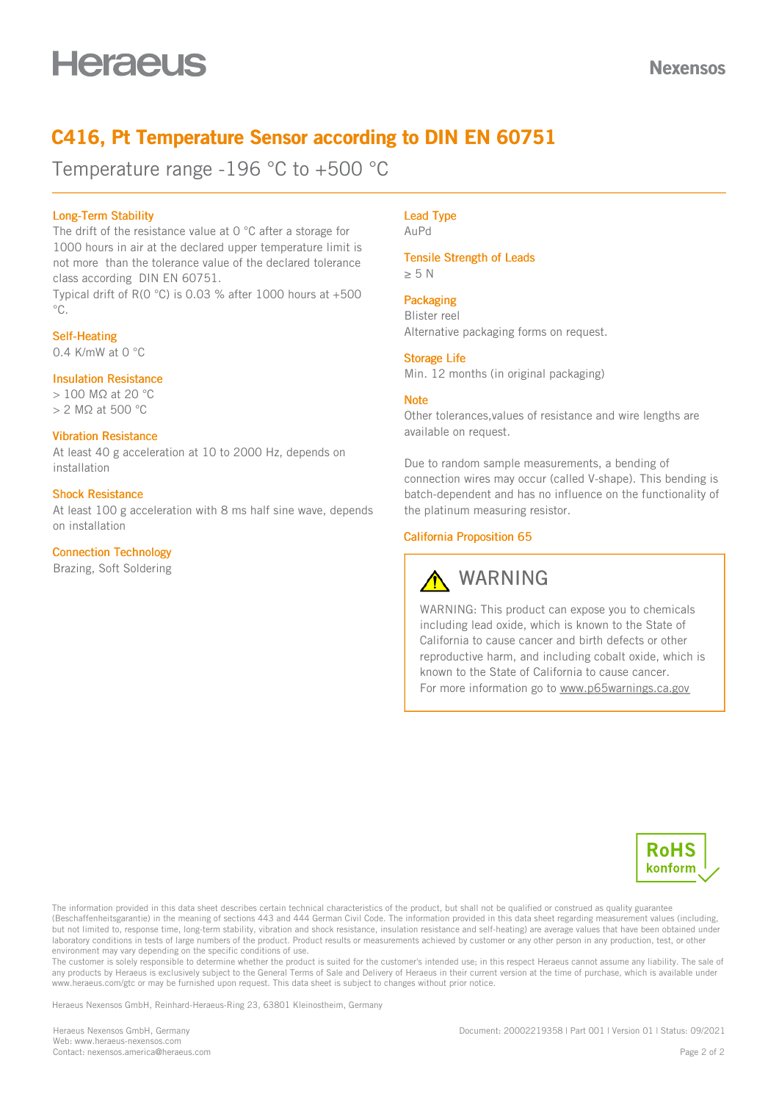## C416, Pt Temperature Sensor according to DIN EN 60751

Temperature range -196 °C to +500 °C

## Long-Term Stability

The drift of the resistance value at 0 °C after a storage for 1000 hours in air at the declared upper temperature limit is not more than the tolerance value of the declared tolerance class according DIN EN 60751.

Typical drift of R(0 °C) is 0.03 % after 1000 hours at +500  $^{\circ}C$ .

## Self-Heating

0.4 K/mW at 0 °C

## Insulation Resistance

> 100 MΩ at 20 °C > 2 MΩ at 500 °C

## Vibration Resistance

At least 40 g acceleration at 10 to 2000 Hz, depends on installation

#### Shock Resistance

At least 100 g acceleration with 8 ms half sine wave, depends on installation

## Connection Technology

Brazing, Soft Soldering

#### Lead Type AuPd

Tensile Strength of Leads

≥ 5 N

## **Packaging**

Blister reel Alternative packaging forms on request.

#### Storage Life

Min. 12 months (in original packaging)

## **Note**

Other tolerances,values of resistance and wire lengths are available on request.

Due to random sample measurements, a bending of connection wires may occur (called V-shape). This bending is batch-dependent and has no influence on the functionality of the platinum measuring resistor.

## California Proposition 65

# WARNING

WARNING: This product can expose you to chemicals including lead oxide, which is known to the State of California to cause cancer and birth defects or other reproductive harm, and including cobalt oxide, which is known to the State of California to cause cancer. For more information go to [www.p65warnings.ca.gov](https://www.p65warnings.ca.gov)



The information provided in this data sheet describes certain technical characteristics of the product, but shall not be qualified or construed as quality guarantee (Beschaffenheitsgarantie) in the meaning of sections 443 and 444 German Civil Code. The information provided in this data sheet regarding measurement values (including, but not limited to, response time, long-term stability, vibration and shock resistance, insulation resistance and self-heating) are average values that have been obtained under laboratory conditions in tests of large numbers of the product. Product results or measurements achieved by customer or any other person in any production, test, or other environment may vary depending on the specific conditions of use.

The customer is solely responsible to determine whether the product is suited for the customer's intended use; in this respect Heraeus cannot assume any liability. The sale of any products by Heraeus is exclusively subject to the General Terms of Sale and Delivery of Heraeus in their current version at the time of purchase, which is available under www.heraeus.com/gtc or may be furnished upon request. This data sheet is subject to changes without prior notice.

Heraeus Nexensos GmbH, Reinhard-Heraeus-Ring 23, 63801 Kleinostheim, Germany

Heraeus Nexensos GmbH, Germany Web: [www.heraeus-nexensos.com](https://www.heraeus-nexensos.com) Contact: [nexensos.america@heraeus.com](mailto:nexensos.america@heraeus.com?subject=Request%20via%20Datasheet) Document: 20002219358 | Part 001 | Version 01 | Status: 09/2021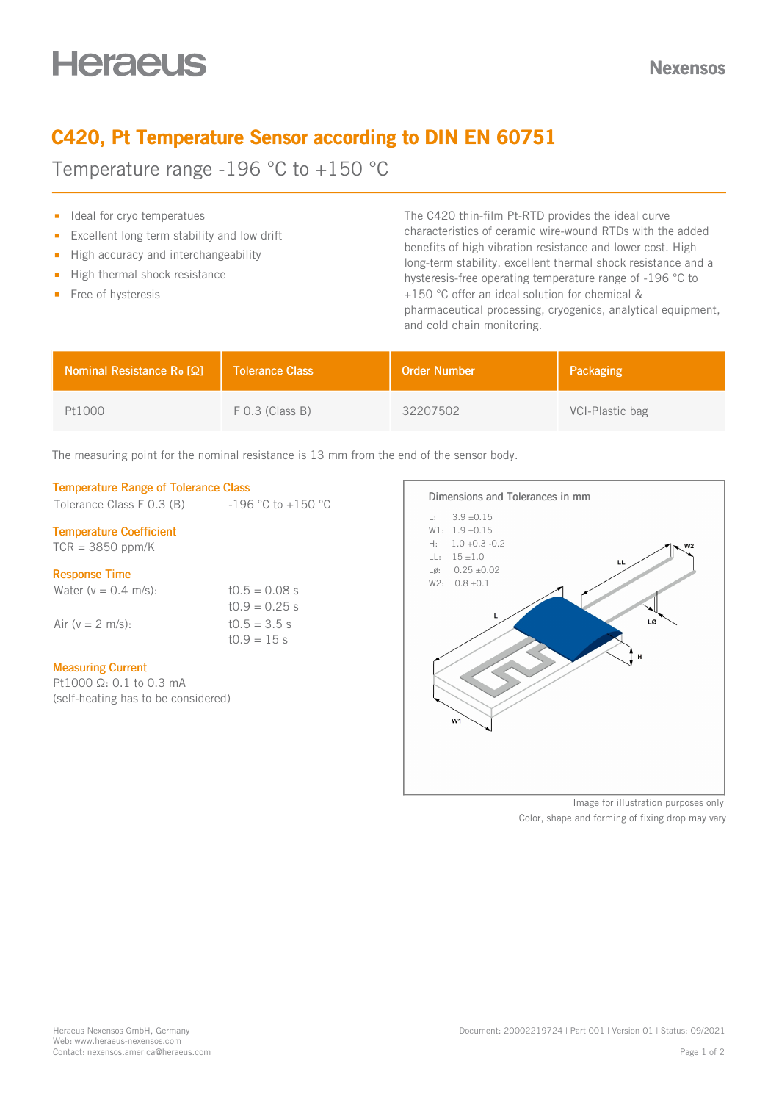# C420, Pt Temperature Sensor according to DIN EN 60751

Temperature range -196 °C to +150 °C

- I Ideal for cryo temperatues
- Excellent long term stability and low drift  $\blacksquare$
- $\blacksquare$  High accuracy and interchangeability
- $\blacksquare$  High thermal shock resistance
- Free of hysteresis

The C420 thin-film Pt-RTD provides the ideal curve characteristics of ceramic wire-wound RTDs with the added benefits of high vibration resistance and lower cost. High long-term stability, excellent thermal shock resistance and a hysteresis-free operating temperature range of -196 °C to +150 °C offer an ideal solution for chemical & pharmaceutical processing, cryogenics, analytical equipment, and cold chain monitoring.

| <b>Nominal Resistance R<sub>o</sub> [Ω]</b> | <b>Tolerance Class</b> | <b>Order Number</b> | Packaging       |
|---------------------------------------------|------------------------|---------------------|-----------------|
| Pt1000                                      | $F$ 0.3 (Class B)      | 32207502            | VCI-Plastic bag |

The measuring point for the nominal resistance is 13 mm from the end of the sensor body.

## Temperature Range of Tolerance Class

Tolerance Class F 0.3 (B)  $-196 °C$  to  $+150 °C$ 

## Temperature Coefficient

 $TCR = 3850$  ppm/K

## Response Time

| Water ( $v = 0.4$ m/s): | $10.5 = 0.08$ s |
|-------------------------|-----------------|
|                         | $10.9 = 0.25$ s |
| Air (y = 2 m/s):        | $t0.5 = 3.5 s$  |
|                         | $10.9 = 15 s$   |

## Measuring Current

Pt1000 Ω: 0.1 to 0.3 mA (self-heating has to be considered)



Image for illustration purposes only Color, shape and forming of fixing drop may vary